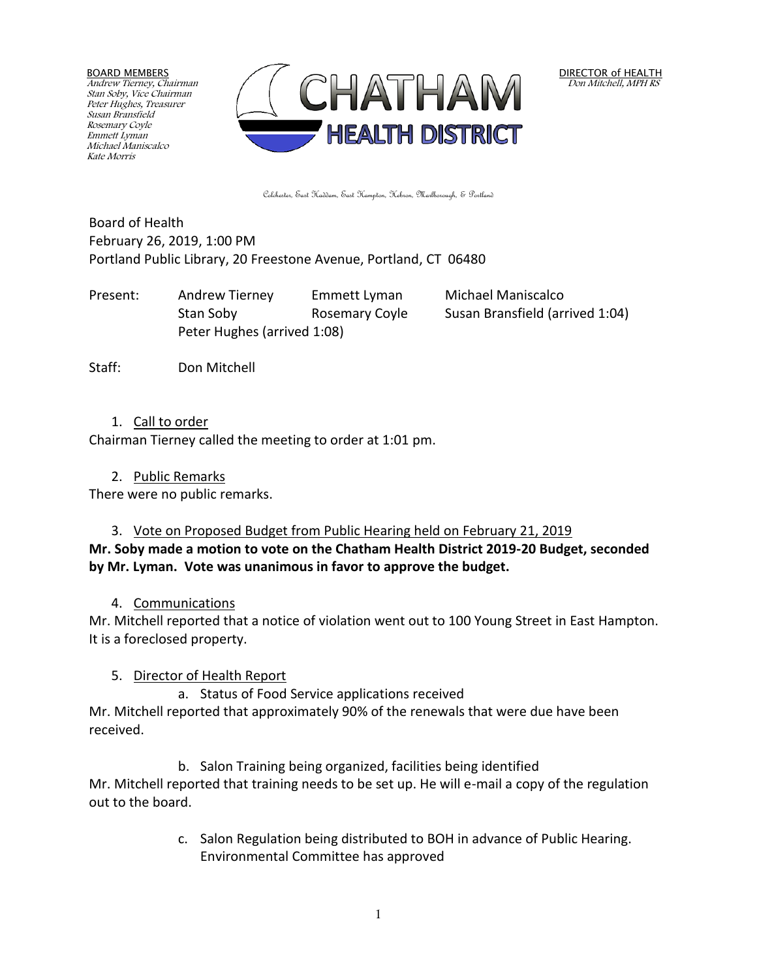BOARD MEMBERS Andrew Tierney, Chairman Stan Soby, Vice Chairman Peter Hughes, Treasurer Susan Bransfield Rosemary Coyle Emmett Lyman Michael Maniscalco Kate Morris



DIRECTOR of HEALTH Don Mitchell, MPH RS

Colchester, East Haddam, East Hampton, Hebron, Marlborough, & Portland

Board of Health February 26, 2019, 1:00 PM Portland Public Library, 20 Freestone Avenue, Portland, CT 06480

Present: Andrew Tierney Emmett Lyman Michael Maniscalco Stan Soby Rosemary Coyle Susan Bransfield (arrived 1:04) Peter Hughes (arrived 1:08)

Staff: Don Mitchell

1. Call to order

Chairman Tierney called the meeting to order at 1:01 pm.

2. Public Remarks

There were no public remarks.

#### 3. Vote on Proposed Budget from Public Hearing held on February 21, 2019 **Mr. Soby made a motion to vote on the Chatham Health District 2019-20 Budget, seconded by Mr. Lyman. Vote was unanimous in favor to approve the budget.**

#### 4. Communications

Mr. Mitchell reported that a notice of violation went out to 100 Young Street in East Hampton. It is a foreclosed property.

#### 5. Director of Health Report

a. Status of Food Service applications received Mr. Mitchell reported that approximately 90% of the renewals that were due have been received.

b. Salon Training being organized, facilities being identified Mr. Mitchell reported that training needs to be set up. He will e-mail a copy of the regulation out to the board.

> c. Salon Regulation being distributed to BOH in advance of Public Hearing. Environmental Committee has approved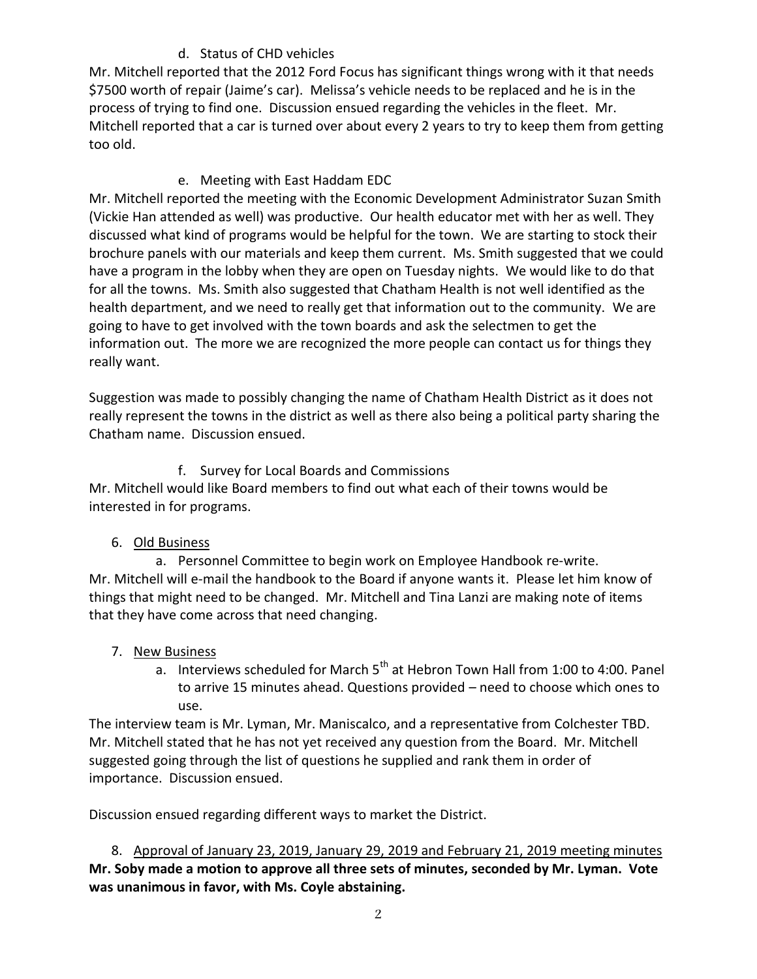# d. Status of CHD vehicles

Mr. Mitchell reported that the 2012 Ford Focus has significant things wrong with it that needs \$7500 worth of repair (Jaime's car). Melissa's vehicle needs to be replaced and he is in the process of trying to find one. Discussion ensued regarding the vehicles in the fleet. Mr. Mitchell reported that a car is turned over about every 2 years to try to keep them from getting too old.

# e. Meeting with East Haddam EDC

Mr. Mitchell reported the meeting with the Economic Development Administrator Suzan Smith (Vickie Han attended as well) was productive. Our health educator met with her as well. They discussed what kind of programs would be helpful for the town. We are starting to stock their brochure panels with our materials and keep them current. Ms. Smith suggested that we could have a program in the lobby when they are open on Tuesday nights. We would like to do that for all the towns. Ms. Smith also suggested that Chatham Health is not well identified as the health department, and we need to really get that information out to the community. We are going to have to get involved with the town boards and ask the selectmen to get the information out. The more we are recognized the more people can contact us for things they really want.

Suggestion was made to possibly changing the name of Chatham Health District as it does not really represent the towns in the district as well as there also being a political party sharing the Chatham name. Discussion ensued.

# f. Survey for Local Boards and Commissions

Mr. Mitchell would like Board members to find out what each of their towns would be interested in for programs.

# 6. Old Business

a. Personnel Committee to begin work on Employee Handbook re-write. Mr. Mitchell will e-mail the handbook to the Board if anyone wants it. Please let him know of things that might need to be changed. Mr. Mitchell and Tina Lanzi are making note of items that they have come across that need changing.

# 7. New Business

a. Interviews scheduled for March  $5<sup>th</sup>$  at Hebron Town Hall from 1:00 to 4:00. Panel to arrive 15 minutes ahead. Questions provided – need to choose which ones to use.

The interview team is Mr. Lyman, Mr. Maniscalco, and a representative from Colchester TBD. Mr. Mitchell stated that he has not yet received any question from the Board. Mr. Mitchell suggested going through the list of questions he supplied and rank them in order of importance. Discussion ensued.

Discussion ensued regarding different ways to market the District.

8. Approval of January 23, 2019, January 29, 2019 and February 21, 2019 meeting minutes **Mr. Soby made a motion to approve all three sets of minutes, seconded by Mr. Lyman. Vote was unanimous in favor, with Ms. Coyle abstaining.**